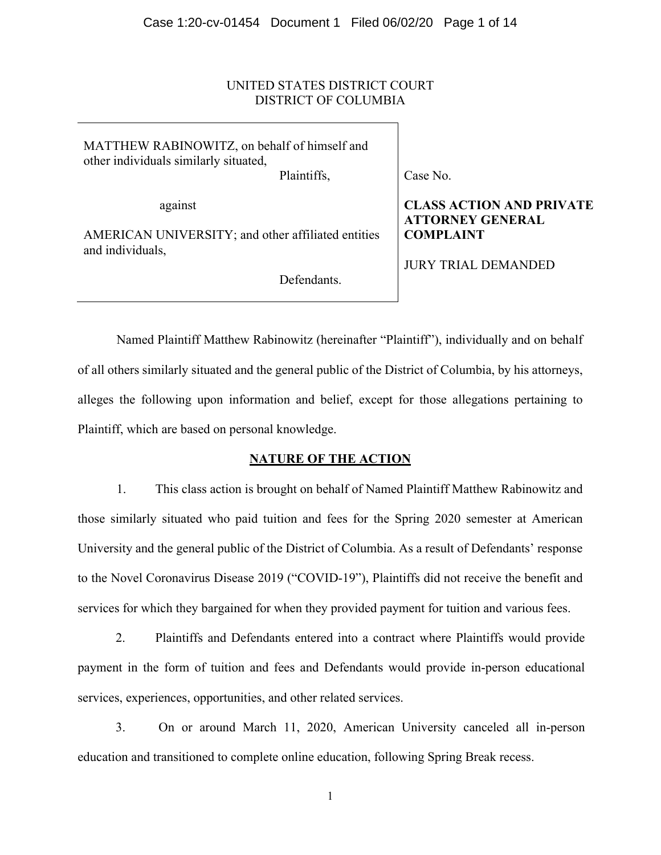## UNITED STATES DISTRICT COURT DISTRICT OF COLUMBIA

| Case No.                                                   |
|------------------------------------------------------------|
| <b>CLASS ACTION AND PRIVATE</b><br><b>ATTORNEY GENERAL</b> |
| <b>COMPLAINT</b>                                           |
| <b>JURY TRIAL DEMANDED</b>                                 |
|                                                            |
|                                                            |

Named Plaintiff Matthew Rabinowitz (hereinafter "Plaintiff"), individually and on behalf of all others similarly situated and the general public of the District of Columbia, by his attorneys, alleges the following upon information and belief, except for those allegations pertaining to Plaintiff, which are based on personal knowledge.

## **NATURE OF THE ACTION**

1. This class action is brought on behalf of Named Plaintiff Matthew Rabinowitz and those similarly situated who paid tuition and fees for the Spring 2020 semester at American University and the general public of the District of Columbia. As a result of Defendants' response to the Novel Coronavirus Disease 2019 ("COVID-19"), Plaintiffs did not receive the benefit and services for which they bargained for when they provided payment for tuition and various fees.

2. Plaintiffs and Defendants entered into a contract where Plaintiffs would provide payment in the form of tuition and fees and Defendants would provide in-person educational services, experiences, opportunities, and other related services.

3. On or around March 11, 2020, American University canceled all in-person education and transitioned to complete online education, following Spring Break recess.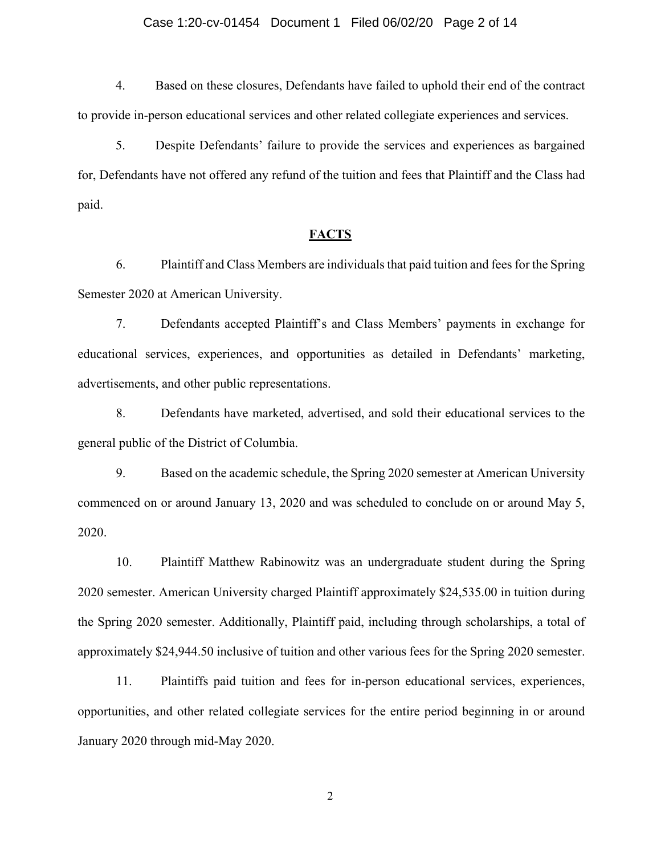## Case 1:20-cv-01454 Document 1 Filed 06/02/20 Page 2 of 14

4. Based on these closures, Defendants have failed to uphold their end of the contract to provide in-person educational services and other related collegiate experiences and services.

5. Despite Defendants' failure to provide the services and experiences as bargained for, Defendants have not offered any refund of the tuition and fees that Plaintiff and the Class had paid.

## **FACTS**

6. Plaintiff and Class Members are individuals that paid tuition and fees for the Spring Semester 2020 at American University.

7. Defendants accepted Plaintiff's and Class Members' payments in exchange for educational services, experiences, and opportunities as detailed in Defendants' marketing, advertisements, and other public representations.

8. Defendants have marketed, advertised, and sold their educational services to the general public of the District of Columbia.

9. Based on the academic schedule, the Spring 2020 semester at American University commenced on or around January 13, 2020 and was scheduled to conclude on or around May 5, 2020.

10. Plaintiff Matthew Rabinowitz was an undergraduate student during the Spring 2020 semester. American University charged Plaintiff approximately \$24,535.00 in tuition during the Spring 2020 semester. Additionally, Plaintiff paid, including through scholarships, a total of approximately \$24,944.50 inclusive of tuition and other various fees for the Spring 2020 semester.

11. Plaintiffs paid tuition and fees for in-person educational services, experiences, opportunities, and other related collegiate services for the entire period beginning in or around January 2020 through mid-May 2020.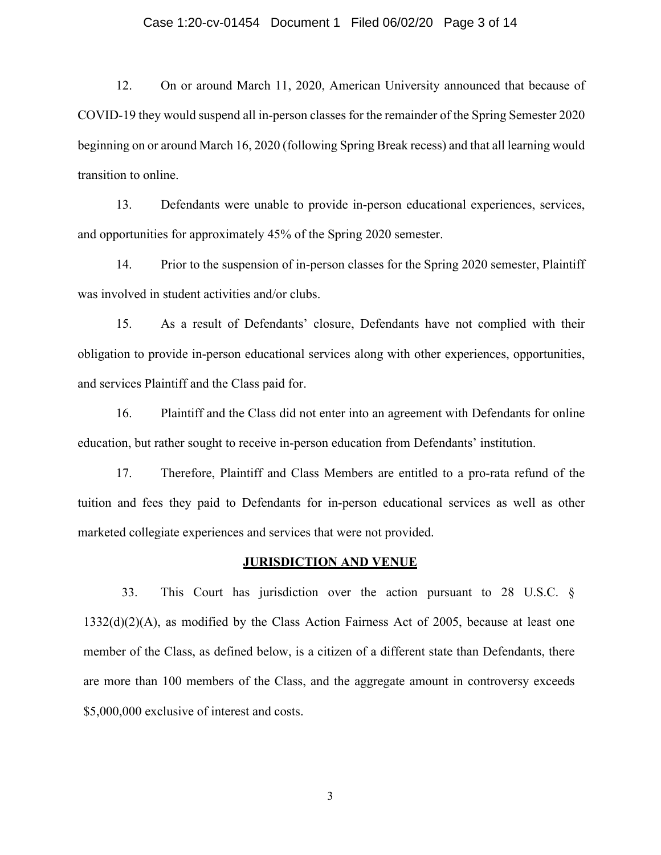## Case 1:20-cv-01454 Document 1 Filed 06/02/20 Page 3 of 14

12. On or around March 11, 2020, American University announced that because of COVID-19 they would suspend all in-person classes for the remainder of the Spring Semester 2020 beginning on or around March 16, 2020 (following Spring Break recess) and that all learning would transition to online.

13. Defendants were unable to provide in-person educational experiences, services, and opportunities for approximately 45% of the Spring 2020 semester.

14. Prior to the suspension of in-person classes for the Spring 2020 semester, Plaintiff was involved in student activities and/or clubs.

15. As a result of Defendants' closure, Defendants have not complied with their obligation to provide in-person educational services along with other experiences, opportunities, and services Plaintiff and the Class paid for.

16. Plaintiff and the Class did not enter into an agreement with Defendants for online education, but rather sought to receive in-person education from Defendants' institution.

17. Therefore, Plaintiff and Class Members are entitled to a pro-rata refund of the tuition and fees they paid to Defendants for in-person educational services as well as other marketed collegiate experiences and services that were not provided.

#### **JURISDICTION AND VENUE**

33. This Court has jurisdiction over the action pursuant to 28 U.S.C. § 1332(d)(2)(A), as modified by the Class Action Fairness Act of 2005, because at least one member of the Class, as defined below, is a citizen of a different state than Defendants, there are more than 100 members of the Class, and the aggregate amount in controversy exceeds \$5,000,000 exclusive of interest and costs.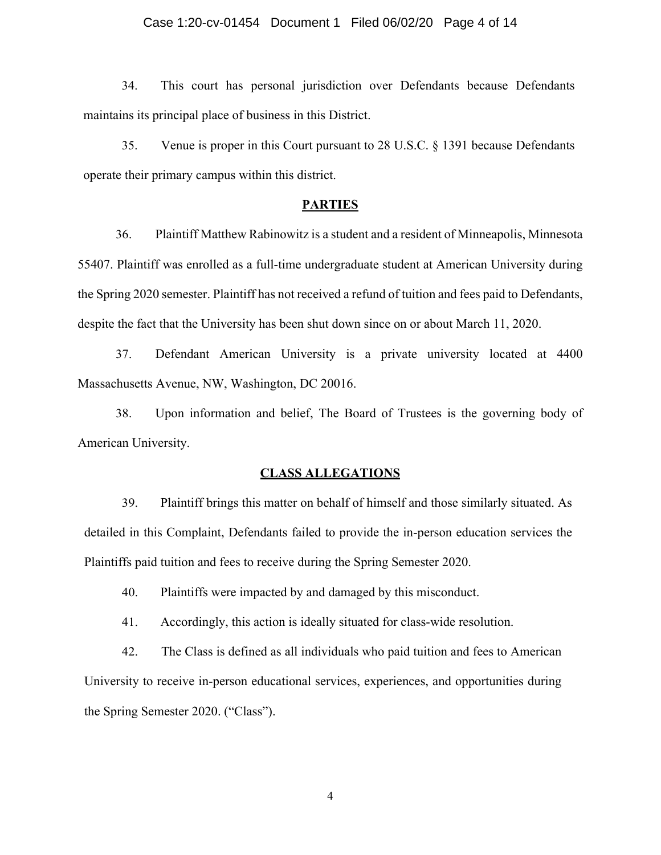## Case 1:20-cv-01454 Document 1 Filed 06/02/20 Page 4 of 14

34. This court has personal jurisdiction over Defendants because Defendants maintains its principal place of business in this District.

35. Venue is proper in this Court pursuant to 28 U.S.C. § 1391 because Defendants operate their primary campus within this district.

## **PARTIES**

36. Plaintiff Matthew Rabinowitz is a student and a resident of Minneapolis, Minnesota 55407. Plaintiff was enrolled as a full-time undergraduate student at American University during the Spring 2020 semester. Plaintiff has not received a refund of tuition and fees paid to Defendants, despite the fact that the University has been shut down since on or about March 11, 2020.

37. Defendant American University is a private university located at 4400 Massachusetts Avenue, NW, Washington, DC 20016.

38. Upon information and belief, The Board of Trustees is the governing body of American University.

#### **CLASS ALLEGATIONS**

39. Plaintiff brings this matter on behalf of himself and those similarly situated. As detailed in this Complaint, Defendants failed to provide the in-person education services the Plaintiffs paid tuition and fees to receive during the Spring Semester 2020.

40. Plaintiffs were impacted by and damaged by this misconduct.

41. Accordingly, this action is ideally situated for class-wide resolution.

42. The Class is defined as all individuals who paid tuition and fees to American University to receive in-person educational services, experiences, and opportunities during the Spring Semester 2020. ("Class").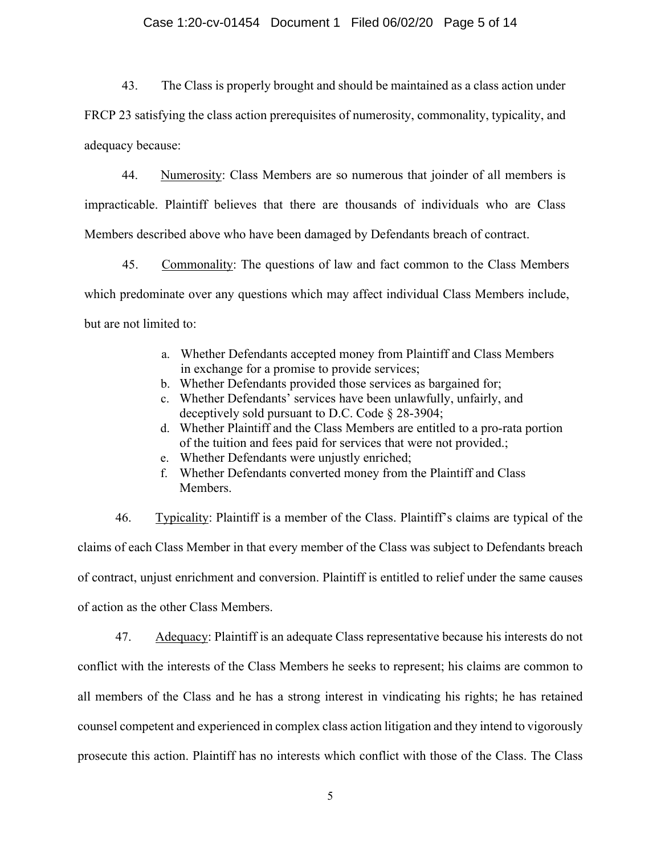## Case 1:20-cv-01454 Document 1 Filed 06/02/20 Page 5 of 14

43. The Class is properly brought and should be maintained as a class action under FRCP 23 satisfying the class action prerequisites of numerosity, commonality, typicality, and adequacy because:

44. Numerosity: Class Members are so numerous that joinder of all members is impracticable. Plaintiff believes that there are thousands of individuals who are Class Members described above who have been damaged by Defendants breach of contract.

45. Commonality: The questions of law and fact common to the Class Members which predominate over any questions which may affect individual Class Members include, but are not limited to:

- a. Whether Defendants accepted money from Plaintiff and Class Members in exchange for a promise to provide services;
- b. Whether Defendants provided those services as bargained for;
- c. Whether Defendants' services have been unlawfully, unfairly, and deceptively sold pursuant to D.C. Code § 28-3904;
- d. Whether Plaintiff and the Class Members are entitled to a pro-rata portion of the tuition and fees paid for services that were not provided.;
- e. Whether Defendants were unjustly enriched;
- f. Whether Defendants converted money from the Plaintiff and Class Members.

46. Typicality: Plaintiff is a member of the Class. Plaintiff's claims are typical of the claims of each Class Member in that every member of the Class was subject to Defendants breach of contract, unjust enrichment and conversion. Plaintiff is entitled to relief under the same causes of action as the other Class Members.

47. Adequacy: Plaintiff is an adequate Class representative because his interests do not conflict with the interests of the Class Members he seeks to represent; his claims are common to all members of the Class and he has a strong interest in vindicating his rights; he has retained counsel competent and experienced in complex class action litigation and they intend to vigorously prosecute this action. Plaintiff has no interests which conflict with those of the Class. The Class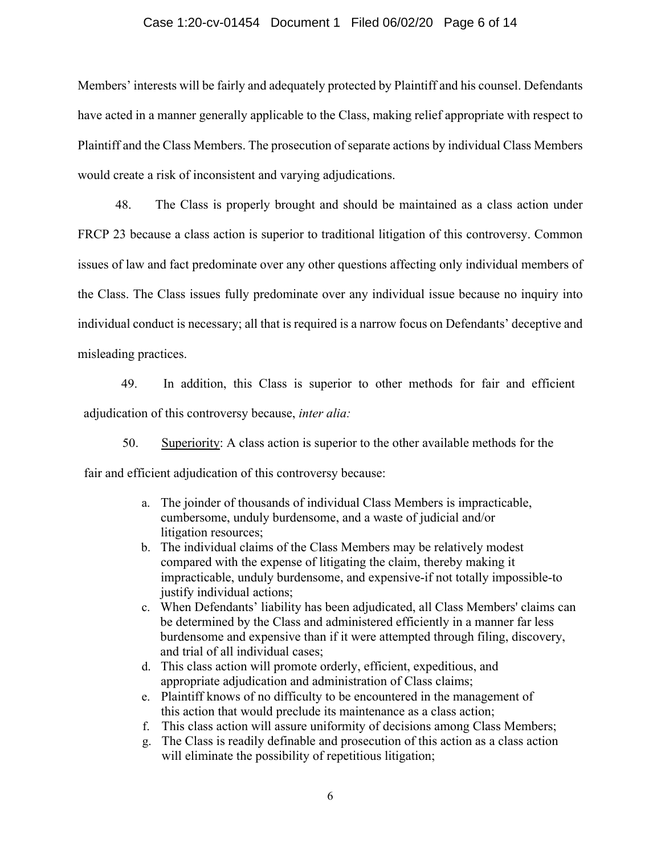#### Case 1:20-cv-01454 Document 1 Filed 06/02/20 Page 6 of 14

Members' interests will be fairly and adequately protected by Plaintiff and his counsel. Defendants have acted in a manner generally applicable to the Class, making relief appropriate with respect to Plaintiff and the Class Members. The prosecution of separate actions by individual Class Members would create a risk of inconsistent and varying adjudications.

48. The Class is properly brought and should be maintained as a class action under FRCP 23 because a class action is superior to traditional litigation of this controversy. Common issues of law and fact predominate over any other questions affecting only individual members of the Class. The Class issues fully predominate over any individual issue because no inquiry into individual conduct is necessary; all that is required is a narrow focus on Defendants' deceptive and misleading practices.

49. In addition, this Class is superior to other methods for fair and efficient adjudication of this controversy because, *inter alia:*

50. Superiority: A class action is superior to the other available methods for the fair and efficient adjudication of this controversy because:

- a. The joinder of thousands of individual Class Members is impracticable, cumbersome, unduly burdensome, and a waste of judicial and/or litigation resources;
- b. The individual claims of the Class Members may be relatively modest compared with the expense of litigating the claim, thereby making it impracticable, unduly burdensome, and expensive-if not totally impossible-to justify individual actions;
- c. When Defendants' liability has been adjudicated, all Class Members' claims can be determined by the Class and administered efficiently in a manner far less burdensome and expensive than if it were attempted through filing, discovery, and trial of all individual cases;
- d. This class action will promote orderly, efficient, expeditious, and appropriate adjudication and administration of Class claims;
- e. Plaintiff knows of no difficulty to be encountered in the management of this action that would preclude its maintenance as a class action;
- f. This class action will assure uniformity of decisions among Class Members;
- g. The Class is readily definable and prosecution of this action as a class action will eliminate the possibility of repetitious litigation;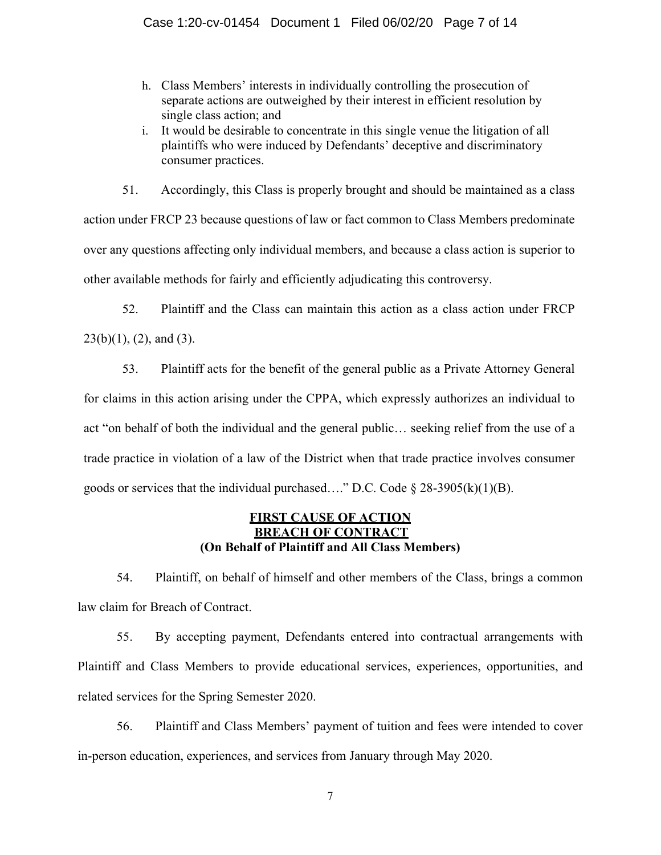- h. Class Members' interests in individually controlling the prosecution of separate actions are outweighed by their interest in efficient resolution by single class action; and
- i. It would be desirable to concentrate in this single venue the litigation of all plaintiffs who were induced by Defendants' deceptive and discriminatory consumer practices.

51. Accordingly, this Class is properly brought and should be maintained as a class action under FRCP 23 because questions of law or fact common to Class Members predominate over any questions affecting only individual members, and because a class action is superior to other available methods for fairly and efficiently adjudicating this controversy.

52. Plaintiff and the Class can maintain this action as a class action under FRCP  $23(b)(1)$ ,  $(2)$ , and  $(3)$ .

53. Plaintiff acts for the benefit of the general public as a Private Attorney General for claims in this action arising under the CPPA, which expressly authorizes an individual to act "on behalf of both the individual and the general public… seeking relief from the use of a trade practice in violation of a law of the District when that trade practice involves consumer goods or services that the individual purchased...." D.C. Code  $\S 28-3905(k)(1)(B)$ .

## **FIRST CAUSE OF ACTION BREACH OF CONTRACT (On Behalf of Plaintiff and All Class Members)**

54. Plaintiff, on behalf of himself and other members of the Class, brings a common law claim for Breach of Contract.

55. By accepting payment, Defendants entered into contractual arrangements with Plaintiff and Class Members to provide educational services, experiences, opportunities, and related services for the Spring Semester 2020.

56. Plaintiff and Class Members' payment of tuition and fees were intended to cover in-person education, experiences, and services from January through May 2020.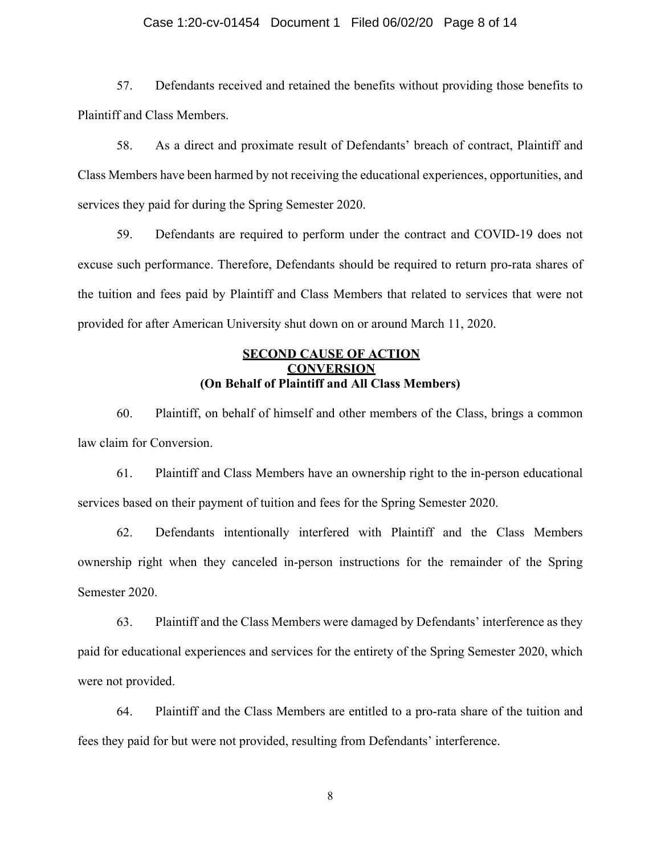## Case 1:20-cv-01454 Document 1 Filed 06/02/20 Page 8 of 14

57. Defendants received and retained the benefits without providing those benefits to Plaintiff and Class Members.

58. As a direct and proximate result of Defendants' breach of contract, Plaintiff and Class Members have been harmed by not receiving the educational experiences, opportunities, and services they paid for during the Spring Semester 2020.

59. Defendants are required to perform under the contract and COVID-19 does not excuse such performance. Therefore, Defendants should be required to return pro-rata shares of the tuition and fees paid by Plaintiff and Class Members that related to services that were not provided for after American University shut down on or around March 11, 2020.

## **SECOND CAUSE OF ACTION CONVERSION (On Behalf of Plaintiff and All Class Members)**

60. Plaintiff, on behalf of himself and other members of the Class, brings a common law claim for Conversion.

61. Plaintiff and Class Members have an ownership right to the in-person educational services based on their payment of tuition and fees for the Spring Semester 2020.

62. Defendants intentionally interfered with Plaintiff and the Class Members ownership right when they canceled in-person instructions for the remainder of the Spring Semester 2020.

63. Plaintiff and the Class Members were damaged by Defendants' interference as they paid for educational experiences and services for the entirety of the Spring Semester 2020, which were not provided.

64. Plaintiff and the Class Members are entitled to a pro-rata share of the tuition and fees they paid for but were not provided, resulting from Defendants' interference.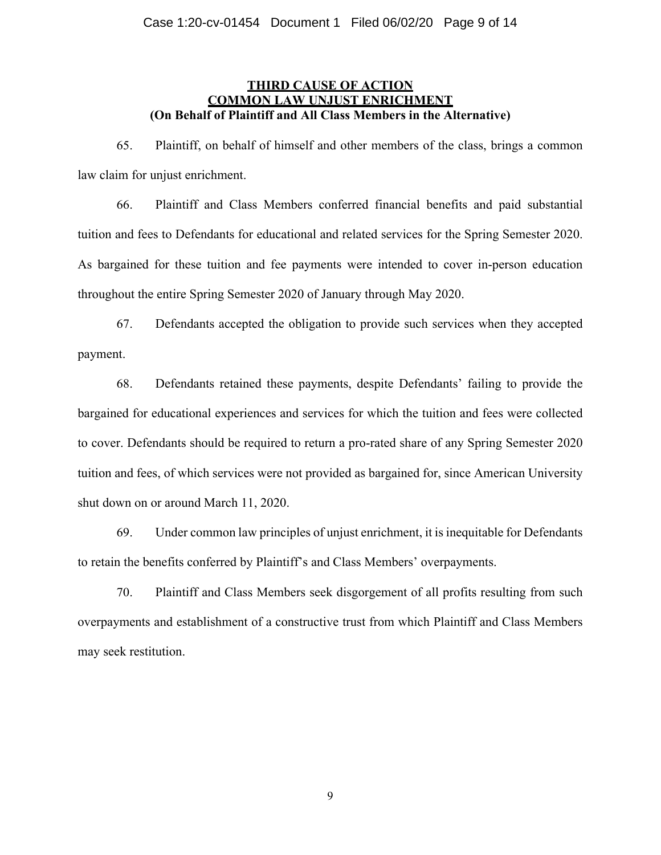## **THIRD CAUSE OF ACTION COMMON LAW UNJUST ENRICH (On Behalf of Plaintiff and All Class Members in the Alternative)**

65. Plaintiff, on behalf of himself and other members of the class, brings a common law claim for unjust enrichment.

66. Plaintiff and Class Members conferred financial benefits and paid substantial tuition and fees to Defendants for educational and related services for the Spring Semester 2020. As bargained for these tuition and fee payments were intended to cover in-person education throughout the entire Spring Semester 2020 of January through May 2020.

67. Defendants accepted the obligation to provide such services when they accepted payment.

68. Defendants retained these payments, despite Defendants' failing to provide the bargained for educational experiences and services for which the tuition and fees were collected to cover. Defendants should be required to return a pro-rated share of any Spring Semester 2020 tuition and fees, of which services were not provided as bargained for, since American University shut down on or around March 11, 2020.

69. Under common law principles of unjust enrichment, it is inequitable for Defendants to retain the benefits conferred by Plaintiff's and Class Members' overpayments.

70. Plaintiff and Class Members seek disgorgement of all profits resulting from such overpayments and establishment of a constructive trust from which Plaintiff and Class Members may seek restitution.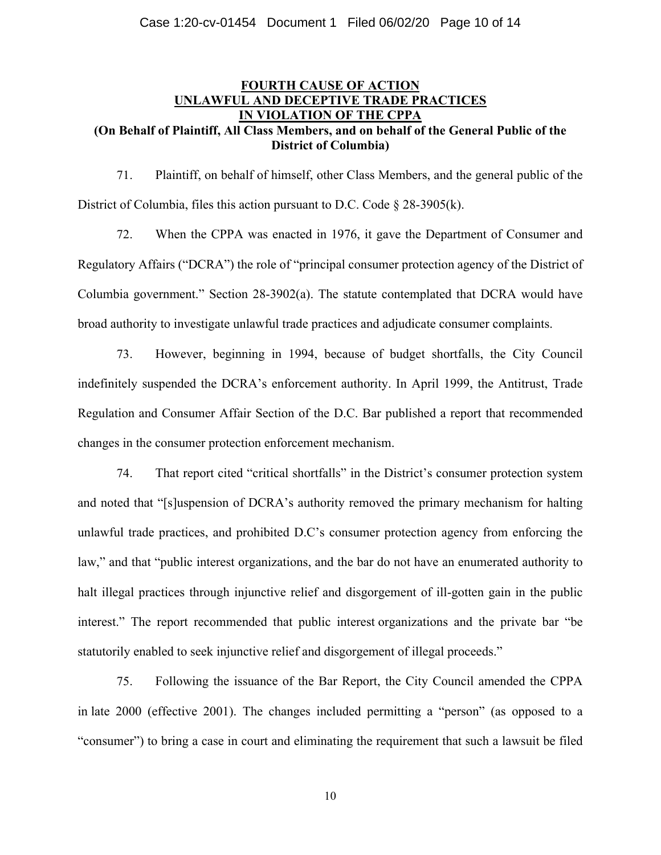## **FOURTH CAUSE OF ACTION UNLAWFUL AND DECEPTIVE TRADE PRACTICES IN VIOLATION OF THE CPPA (On Behalf of Plaintiff, All Class Members, and on behalf of the General Public of the District of Columbia)**

71. Plaintiff, on behalf of himself, other Class Members, and the general public of the District of Columbia, files this action pursuant to D.C. Code § 28-3905(k).

72. When the CPPA was enacted in 1976, it gave the Department of Consumer and Regulatory Affairs ("DCRA") the role of "principal consumer protection agency of the District of Columbia government." Section 28-3902(a). The statute contemplated that DCRA would have broad authority to investigate unlawful trade practices and adjudicate consumer complaints.

73. However, beginning in 1994, because of budget shortfalls, the City Council indefinitely suspended the DCRA's enforcement authority. In April 1999, the Antitrust, Trade Regulation and Consumer Affair Section of the D.C. Bar published a report that recommended changes in the consumer protection enforcement mechanism.

74. That report cited "critical shortfalls" in the District's consumer protection system and noted that "[s]uspension of DCRA's authority removed the primary mechanism for halting unlawful trade practices, and prohibited D.C's consumer protection agency from enforcing the law," and that "public interest organizations, and the bar do not have an enumerated authority to halt illegal practices through injunctive relief and disgorgement of ill-gotten gain in the public interest." The report recommended that public interest organizations and the private bar "be statutorily enabled to seek injunctive relief and disgorgement of illegal proceeds."

75. Following the issuance of the Bar Report, the City Council amended the CPPA in late 2000 (effective 2001). The changes included permitting a "person" (as opposed to a "consumer") to bring a case in court and eliminating the requirement that such a lawsuit be filed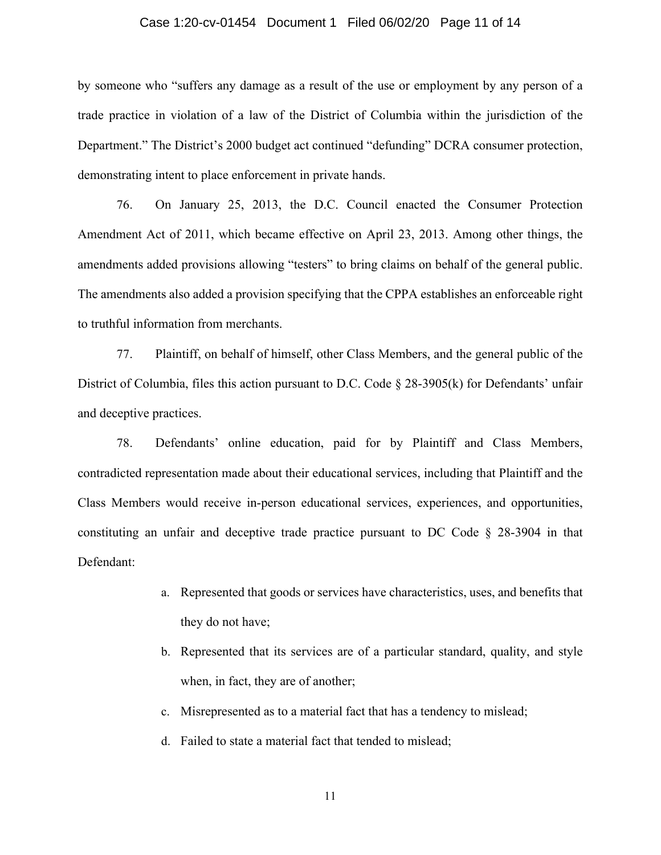## Case 1:20-cv-01454 Document 1 Filed 06/02/20 Page 11 of 14

by someone who "suffers any damage as a result of the use or employment by any person of a trade practice in violation of a law of the District of Columbia within the jurisdiction of the Department." The District's 2000 budget act continued "defunding" DCRA consumer protection, demonstrating intent to place enforcement in private hands.

76. On January 25, 2013, the D.C. Council enacted the Consumer Protection Amendment Act of 2011, which became effective on April 23, 2013. Among other things, the amendments added provisions allowing "testers" to bring claims on behalf of the general public. The amendments also added a provision specifying that the CPPA establishes an enforceable right to truthful information from merchants.

77. Plaintiff, on behalf of himself, other Class Members, and the general public of the District of Columbia, files this action pursuant to D.C. Code § 28-3905(k) for Defendants' unfair and deceptive practices.

78. Defendants' online education, paid for by Plaintiff and Class Members, contradicted representation made about their educational services, including that Plaintiff and the Class Members would receive in-person educational services, experiences, and opportunities, constituting an unfair and deceptive trade practice pursuant to DC Code § 28-3904 in that Defendant:

- a. Represented that goods or services have characteristics, uses, and benefits that they do not have;
- b. Represented that its services are of a particular standard, quality, and style when, in fact, they are of another;
- c. Misrepresented as to a material fact that has a tendency to mislead;
- d. Failed to state a material fact that tended to mislead;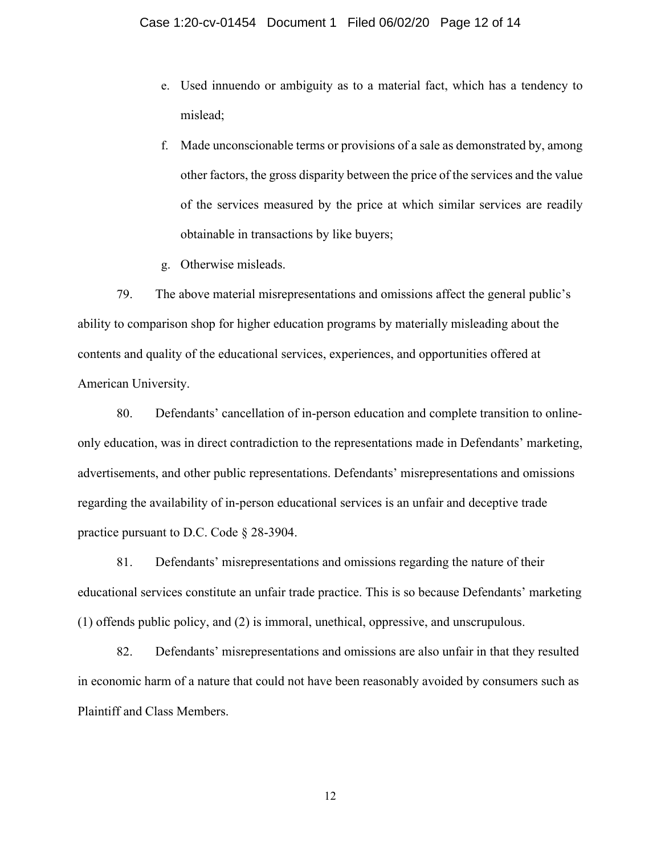- e. Used innuendo or ambiguity as to a material fact, which has a tendency to mislead;
- f. Made unconscionable terms or provisions of a sale as demonstrated by, among other factors, the gross disparity between the price of the services and the value of the services measured by the price at which similar services are readily obtainable in transactions by like buyers;
- g. Otherwise misleads.

79. The above material misrepresentations and omissions affect the general public's ability to comparison shop for higher education programs by materially misleading about the contents and quality of the educational services, experiences, and opportunities offered at American University.

80. Defendants' cancellation of in-person education and complete transition to onlineonly education, was in direct contradiction to the representations made in Defendants' marketing, advertisements, and other public representations. Defendants' misrepresentations and omissions regarding the availability of in-person educational services is an unfair and deceptive trade practice pursuant to D.C. Code § 28-3904.

81. Defendants' misrepresentations and omissions regarding the nature of their educational services constitute an unfair trade practice. This is so because Defendants' marketing (1) offends public policy, and (2) is immoral, unethical, oppressive, and unscrupulous.

82. Defendants' misrepresentations and omissions are also unfair in that they resulted in economic harm of a nature that could not have been reasonably avoided by consumers such as Plaintiff and Class Members.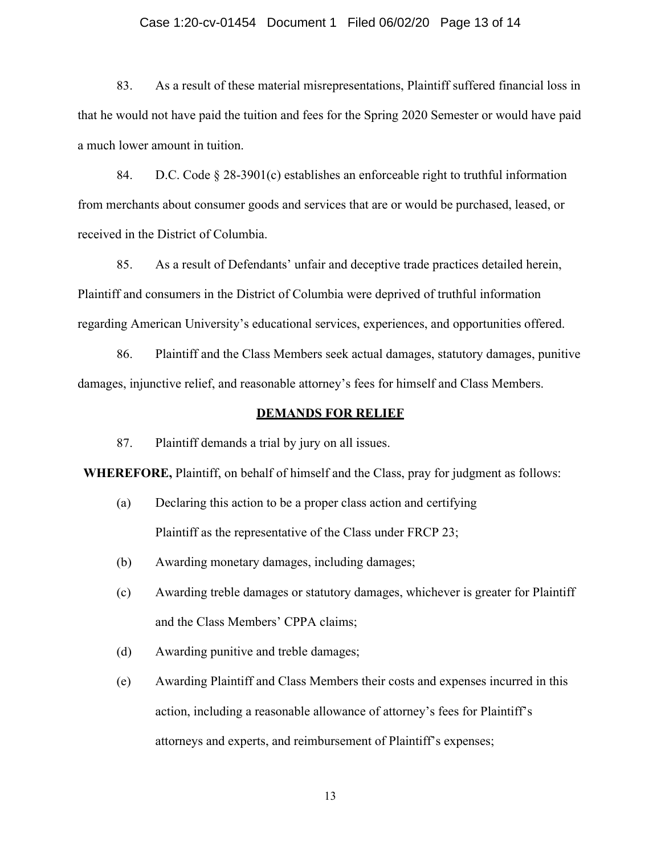## Case 1:20-cv-01454 Document 1 Filed 06/02/20 Page 13 of 14

83. As a result of these material misrepresentations, Plaintiff suffered financial loss in that he would not have paid the tuition and fees for the Spring 2020 Semester or would have paid a much lower amount in tuition.

84. D.C. Code § 28-3901(c) establishes an enforceable right to truthful information from merchants about consumer goods and services that are or would be purchased, leased, or received in the District of Columbia.

85. As a result of Defendants' unfair and deceptive trade practices detailed herein, Plaintiff and consumers in the District of Columbia were deprived of truthful information regarding American University's educational services, experiences, and opportunities offered.

86. Plaintiff and the Class Members seek actual damages, statutory damages, punitive damages, injunctive relief, and reasonable attorney's fees for himself and Class Members.

#### **DEMANDS FOR RELIEF**

87. Plaintiff demands a trial by jury on all issues.

**WHEREFORE,** Plaintiff, on behalf of himself and the Class, pray for judgment as follows:

- (a) Declaring this action to be a proper class action and certifying Plaintiff as the representative of the Class under FRCP 23;
- (b) Awarding monetary damages, including damages;
- (c) Awarding treble damages or statutory damages, whichever is greater for Plaintiff and the Class Members' CPPA claims;
- (d) Awarding punitive and treble damages;
- (e) Awarding Plaintiff and Class Members their costs and expenses incurred in this action, including a reasonable allowance of attorney's fees for Plaintiff's attorneys and experts, and reimbursement of Plaintiff's expenses;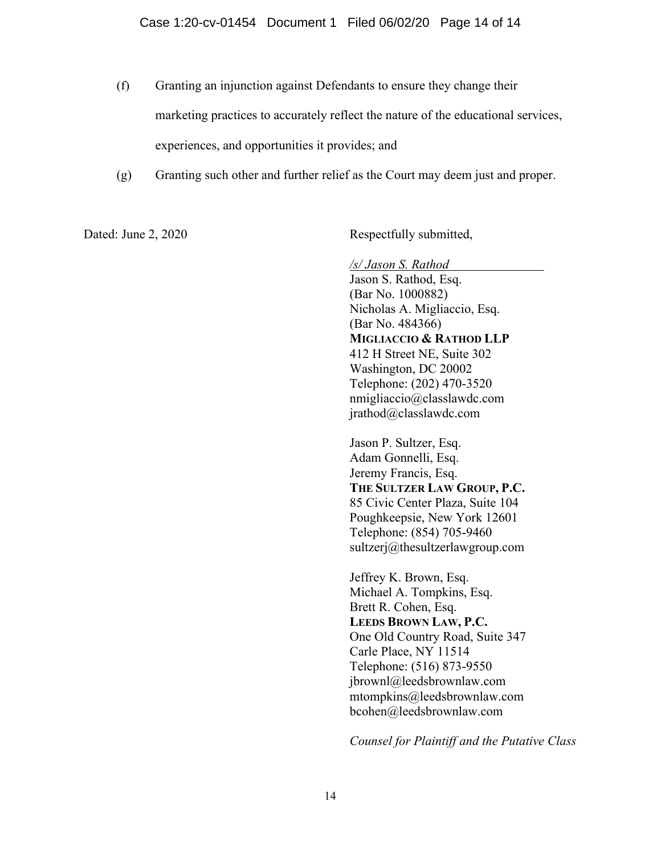- (f) Granting an injunction against Defendants to ensure they change their marketing practices to accurately reflect the nature of the educational services, experiences, and opportunities it provides; and
- (g) Granting such other and further relief as the Court may deem just and proper.

Dated: June 2, 2020 Respectfully submitted,

*/s/ Jason S. Rathod*

Jason S. Rathod, Esq. (Bar No. 1000882) Nicholas A. Migliaccio, Esq. (Bar No. 484366) **MIGLIACCIO & RATHOD LLP** 412 H Street NE, Suite 302 Washington, DC 20002 Telephone: (202) 470-3520 nmigliaccio@classlawdc.com jrathod@classlawdc.com

Jason P. Sultzer, Esq. Adam Gonnelli, Esq. Jeremy Francis, Esq. **THE SULTZER LAW GROUP, P.C.** 85 Civic Center Plaza, Suite 104 Poughkeepsie, New York 12601 Telephone: (854) 705-9460 sultzerj@thesultzerlawgroup.com

Jeffrey K. Brown, Esq. Michael A. Tompkins, Esq. Brett R. Cohen, Esq. **LEEDS BROWN LAW, P.C.** One Old Country Road, Suite 347 Carle Place, NY 11514 Telephone: (516) 873-9550 jbrownl@leedsbrownlaw.com mtompkins@leedsbrownlaw.com bcohen@leedsbrownlaw.com

*Counsel for Plaintiff and the Putative Class*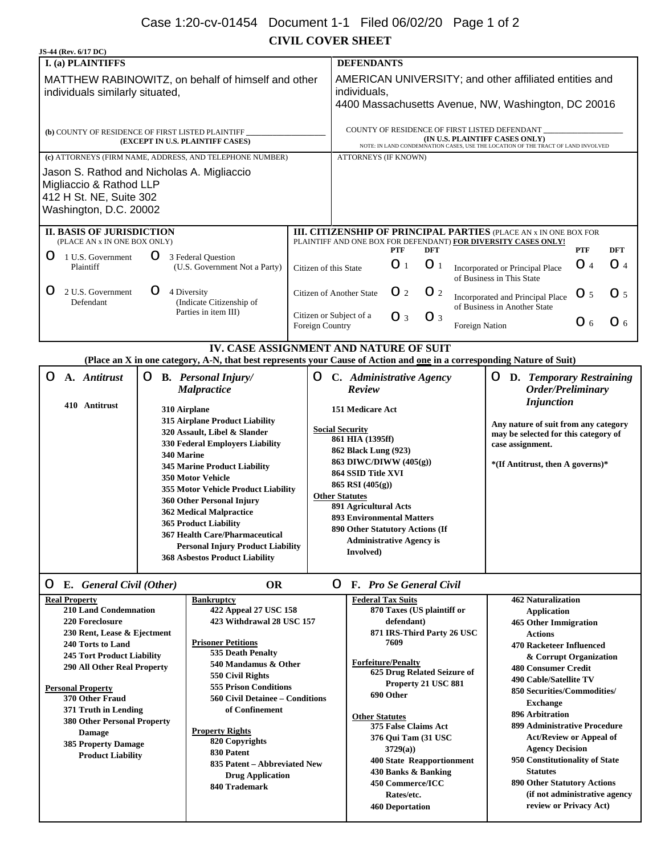## Case 1:20-cv-01454 Document 1-1 Filed 06/02/20 Page 1 of 2

**CIVIL COVER SHEET**

| JS-44 (Rev. 6/17 DC)                                                                                                                                                                                                                                                                                                                                                                                                                                                                                                                                                                                                                                                                                                                                                          |                                                                                                                                                                  |                                                                                   | <b>DEFENDANTS</b>                                                                                                                                                                                                                                                                                                                   |                                                                                                                                                                                                                                                                   |                                                                                                                                           |                                                                                                                                                                                                                                                                                                                                                                                                                                                                                                                                          |                         |              |  |
|-------------------------------------------------------------------------------------------------------------------------------------------------------------------------------------------------------------------------------------------------------------------------------------------------------------------------------------------------------------------------------------------------------------------------------------------------------------------------------------------------------------------------------------------------------------------------------------------------------------------------------------------------------------------------------------------------------------------------------------------------------------------------------|------------------------------------------------------------------------------------------------------------------------------------------------------------------|-----------------------------------------------------------------------------------|-------------------------------------------------------------------------------------------------------------------------------------------------------------------------------------------------------------------------------------------------------------------------------------------------------------------------------------|-------------------------------------------------------------------------------------------------------------------------------------------------------------------------------------------------------------------------------------------------------------------|-------------------------------------------------------------------------------------------------------------------------------------------|------------------------------------------------------------------------------------------------------------------------------------------------------------------------------------------------------------------------------------------------------------------------------------------------------------------------------------------------------------------------------------------------------------------------------------------------------------------------------------------------------------------------------------------|-------------------------|--------------|--|
| I. (a) PLAINTIFFS                                                                                                                                                                                                                                                                                                                                                                                                                                                                                                                                                                                                                                                                                                                                                             |                                                                                                                                                                  |                                                                                   |                                                                                                                                                                                                                                                                                                                                     |                                                                                                                                                                                                                                                                   |                                                                                                                                           |                                                                                                                                                                                                                                                                                                                                                                                                                                                                                                                                          |                         |              |  |
| MATTHEW RABINOWITZ, on behalf of himself and other<br>individuals similarly situated,                                                                                                                                                                                                                                                                                                                                                                                                                                                                                                                                                                                                                                                                                         |                                                                                                                                                                  |                                                                                   | individuals,                                                                                                                                                                                                                                                                                                                        |                                                                                                                                                                                                                                                                   |                                                                                                                                           | AMERICAN UNIVERSITY; and other affiliated entities and<br>4400 Massachusetts Avenue, NW, Washington, DC 20016                                                                                                                                                                                                                                                                                                                                                                                                                            |                         |              |  |
| (b) COUNTY OF RESIDENCE OF FIRST LISTED PLAINTIFF<br>(EXCEPT IN U.S. PLAINTIFF CASES)                                                                                                                                                                                                                                                                                                                                                                                                                                                                                                                                                                                                                                                                                         |                                                                                                                                                                  |                                                                                   | COUNTY OF RESIDENCE OF FIRST LISTED DEFENDANT<br>(IN U.S. PLAINTIFF CASES ONLY)<br>NOTE: IN LAND CONDEMNATION CASES, USE THE LOCATION OF THE TRACT OF LAND INVOLVED                                                                                                                                                                 |                                                                                                                                                                                                                                                                   |                                                                                                                                           |                                                                                                                                                                                                                                                                                                                                                                                                                                                                                                                                          |                         |              |  |
|                                                                                                                                                                                                                                                                                                                                                                                                                                                                                                                                                                                                                                                                                                                                                                               | (c) ATTORNEYS (FIRM NAME, ADDRESS, AND TELEPHONE NUMBER)                                                                                                         |                                                                                   | ATTORNEYS (IF KNOWN)                                                                                                                                                                                                                                                                                                                |                                                                                                                                                                                                                                                                   |                                                                                                                                           |                                                                                                                                                                                                                                                                                                                                                                                                                                                                                                                                          |                         |              |  |
| Jason S. Rathod and Nicholas A. Migliaccio<br>Migliaccio & Rathod LLP<br>412 H St. NE, Suite 302<br>Washington, D.C. 20002                                                                                                                                                                                                                                                                                                                                                                                                                                                                                                                                                                                                                                                    |                                                                                                                                                                  |                                                                                   |                                                                                                                                                                                                                                                                                                                                     |                                                                                                                                                                                                                                                                   |                                                                                                                                           |                                                                                                                                                                                                                                                                                                                                                                                                                                                                                                                                          |                         |              |  |
| <b>II. BASIS OF JURISDICTION</b><br>(PLACE AN x IN ONE BOX ONLY)                                                                                                                                                                                                                                                                                                                                                                                                                                                                                                                                                                                                                                                                                                              |                                                                                                                                                                  |                                                                                   |                                                                                                                                                                                                                                                                                                                                     |                                                                                                                                                                                                                                                                   | <b>III. CITIZENSHIP OF PRINCIPAL PARTIES (PLACE AN x IN ONE BOX FOR</b><br>PLAINTIFF AND ONE BOX FOR DEFENDANT) FOR DIVERSITY CASES ONLY! |                                                                                                                                                                                                                                                                                                                                                                                                                                                                                                                                          |                         |              |  |
| 1 U.S. Government<br>O<br>Plaintiff                                                                                                                                                                                                                                                                                                                                                                                                                                                                                                                                                                                                                                                                                                                                           | 3 Federal Question<br>(U.S. Government Not a Party)                                                                                                              | <b>PTF</b><br><b>DFT</b><br>$\bigcirc$ 1<br>$\bigcirc$ 1<br>Citizen of this State |                                                                                                                                                                                                                                                                                                                                     |                                                                                                                                                                                                                                                                   | Incorporated or Principal Place<br>of Business in This State                                                                              | PTF<br>$\bigcirc$ 4                                                                                                                                                                                                                                                                                                                                                                                                                                                                                                                      | <b>DFT</b><br>$\odot$ 4 |              |  |
| 2 U.S. Government<br>$\rm \odot$<br>Defendant                                                                                                                                                                                                                                                                                                                                                                                                                                                                                                                                                                                                                                                                                                                                 | 4 Diversity<br>(Indicate Citizenship of<br>Parties in item III)                                                                                                  | Citizen of Another State                                                          | $\odot$ 2                                                                                                                                                                                                                                                                                                                           | $\mathbf{O}$ 2                                                                                                                                                                                                                                                    |                                                                                                                                           | Incorporated and Principal Place<br>of Business in Another State                                                                                                                                                                                                                                                                                                                                                                                                                                                                         | $\bigcirc$ 5            | $\bigcirc$ 5 |  |
|                                                                                                                                                                                                                                                                                                                                                                                                                                                                                                                                                                                                                                                                                                                                                                               |                                                                                                                                                                  | Citizen or Subject of a<br>Foreign Country                                        | $\bigcirc$ 3                                                                                                                                                                                                                                                                                                                        | $\bigcirc$ 3                                                                                                                                                                                                                                                      | Foreign Nation                                                                                                                            |                                                                                                                                                                                                                                                                                                                                                                                                                                                                                                                                          | Q 6                     | $\bigcirc$ 6 |  |
|                                                                                                                                                                                                                                                                                                                                                                                                                                                                                                                                                                                                                                                                                                                                                                               | IV. CASE ASSIGNMENT AND NATURE OF SUIT<br>(Place an X in one category, A-N, that best represents your Cause of Action and one in a corresponding Nature of Suit) |                                                                                   |                                                                                                                                                                                                                                                                                                                                     |                                                                                                                                                                                                                                                                   |                                                                                                                                           |                                                                                                                                                                                                                                                                                                                                                                                                                                                                                                                                          |                         |              |  |
| A. Antitrust<br>O                                                                                                                                                                                                                                                                                                                                                                                                                                                                                                                                                                                                                                                                                                                                                             | <b>B.</b> Personal Injury/<br><b>Malpractice</b>                                                                                                                 | O                                                                                 | C. Administrative Agency<br>Review                                                                                                                                                                                                                                                                                                  |                                                                                                                                                                                                                                                                   |                                                                                                                                           | <b>O</b> D. Temporary Restraining<br>Order/Preliminary                                                                                                                                                                                                                                                                                                                                                                                                                                                                                   |                         |              |  |
| 410 Antitrust<br>310 Airplane<br>315 Airplane Product Liability<br>320 Assault, Libel & Slander<br>330 Federal Employers Liability<br>340 Marine<br><b>345 Marine Product Liability</b><br>350 Motor Vehicle<br>355 Motor Vehicle Product Liability<br>360 Other Personal Injury<br><b>362 Medical Malpractice</b><br><b>365 Product Liability</b><br>367 Health Care/Pharmaceutical<br><b>Personal Injury Product Liability</b><br><b>368 Asbestos Product Liability</b>                                                                                                                                                                                                                                                                                                     |                                                                                                                                                                  |                                                                                   | 151 Medicare Act<br><b>Social Security</b><br>861 HIA (1395ff)<br>862 Black Lung (923)<br>863 DIWC/DIWW (405(g))<br>864 SSID Title XVI<br>865 RSI (405(g))<br><b>Other Statutes</b><br>891 Agricultural Acts<br><b>893 Environmental Matters</b><br>890 Other Statutory Actions (If<br><b>Administrative Agency is</b><br>Involved) |                                                                                                                                                                                                                                                                   |                                                                                                                                           | <b>Injunction</b><br>Any nature of suit from any category<br>may be selected for this category of<br>case assignment.<br>*(If Antitrust, then A governs)*                                                                                                                                                                                                                                                                                                                                                                                |                         |              |  |
| E. General Civil (Other)<br>⊙                                                                                                                                                                                                                                                                                                                                                                                                                                                                                                                                                                                                                                                                                                                                                 | <b>OR</b>                                                                                                                                                        |                                                                                   | <b>O</b> F. Pro Se General Civil                                                                                                                                                                                                                                                                                                    |                                                                                                                                                                                                                                                                   |                                                                                                                                           |                                                                                                                                                                                                                                                                                                                                                                                                                                                                                                                                          |                         |              |  |
| <b>Real Property</b><br><b>Bankruptcy</b><br><b>210 Land Condemnation</b><br>422 Appeal 27 USC 158<br>220 Foreclosure<br>423 Withdrawal 28 USC 157<br>230 Rent, Lease & Ejectment<br><b>Prisoner Petitions</b><br>240 Torts to Land<br>535 Death Penalty<br><b>245 Tort Product Liability</b><br>540 Mandamus & Other<br>290 All Other Real Property<br>550 Civil Rights<br><b>555 Prison Conditions</b><br><b>Personal Property</b><br>370 Other Fraud<br>560 Civil Detainee - Conditions<br>371 Truth in Lending<br>of Confinement<br>380 Other Personal Property<br><b>Property Rights</b><br><b>Damage</b><br>820 Copyrights<br>385 Property Damage<br>830 Patent<br><b>Product Liability</b><br>835 Patent - Abbreviated New<br><b>Drug Application</b><br>840 Trademark |                                                                                                                                                                  |                                                                                   | <b>Federal Tax Suits</b><br>7609<br><b>Forfeiture/Penalty</b><br>690 Other<br><b>Other Statutes</b><br>3729(a)<br><b>460 Deportation</b>                                                                                                                                                                                            | 870 Taxes (US plaintiff or<br>defendant)<br>871 IRS-Third Party 26 USC<br>625 Drug Related Seizure of<br>Property 21 USC 881<br>375 False Claims Act<br>376 Qui Tam (31 USC<br>400 State Reapportionment<br>430 Banks & Banking<br>450 Commerce/ICC<br>Rates/etc. |                                                                                                                                           | <b>462 Naturalization</b><br><b>Application</b><br><b>465 Other Immigration</b><br><b>Actions</b><br>470 Racketeer Influenced<br>& Corrupt Organization<br><b>480 Consumer Credit</b><br>490 Cable/Satellite TV<br>850 Securities/Commodities/<br><b>Exchange</b><br>896 Arbitration<br>899 Administrative Procedure<br><b>Act/Review or Appeal of</b><br><b>Agency Decision</b><br>950 Constitutionality of State<br><b>Statutes</b><br><b>X</b> 890 Other Statutory Actions<br>(if not administrative agency<br>review or Privacy Act) |                         |              |  |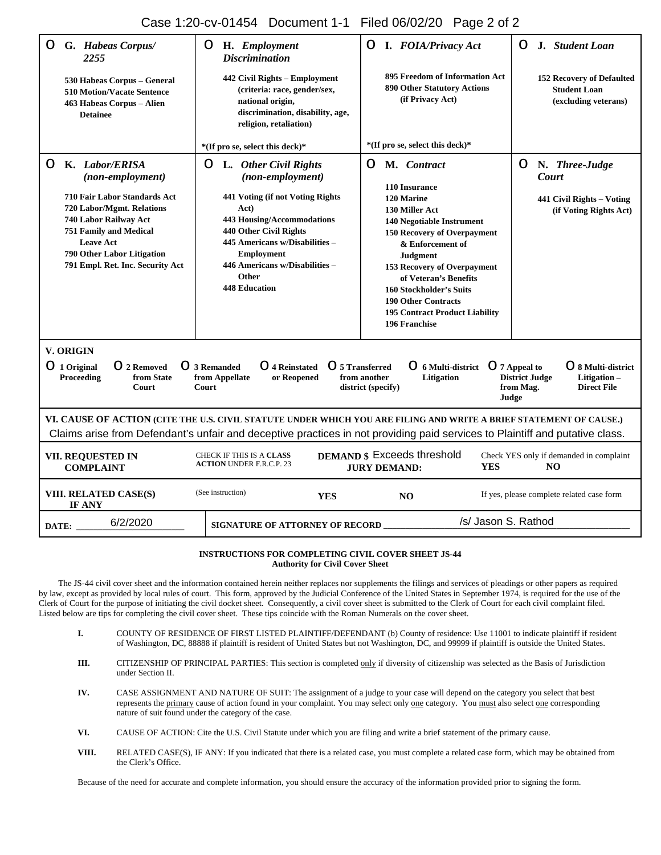Case 1:20-cv-01454 Document 1-1 Filed 06/02/20 Page 2 of 2

| G. Habeas Corpus/<br>2255                                                                                                                                                                                                                                                                                                                                        | $\circ$<br>H. Employment<br><b>Discrimination</b>                                                                                                                                                                                                                                  | $\bigcirc$ I. FOIA/Privacy Act                                                                                                                                                                                                                                                                                                                                | <b>J.</b> Student Loan<br>O                                                             |  |  |  |
|------------------------------------------------------------------------------------------------------------------------------------------------------------------------------------------------------------------------------------------------------------------------------------------------------------------------------------------------------------------|------------------------------------------------------------------------------------------------------------------------------------------------------------------------------------------------------------------------------------------------------------------------------------|---------------------------------------------------------------------------------------------------------------------------------------------------------------------------------------------------------------------------------------------------------------------------------------------------------------------------------------------------------------|-----------------------------------------------------------------------------------------|--|--|--|
| 530 Habeas Corpus - General<br><b>510 Motion/Vacate Sentence</b><br>463 Habeas Corpus - Alien<br><b>Detainee</b>                                                                                                                                                                                                                                                 | 442 Civil Rights - Employment<br>(criteria: race, gender/sex,<br>national origin,<br>discrimination, disability, age,<br>religion, retaliation)                                                                                                                                    | 895 Freedom of Information Act<br><b>890 Other Statutory Actions</b><br>(if Privacy Act)                                                                                                                                                                                                                                                                      | <b>152 Recovery of Defaulted</b><br><b>Student Loan</b><br>(excluding veterans)         |  |  |  |
|                                                                                                                                                                                                                                                                                                                                                                  | *(If pro se, select this deck)*                                                                                                                                                                                                                                                    | *(If pro se, select this deck)*                                                                                                                                                                                                                                                                                                                               |                                                                                         |  |  |  |
| K. Labor/ERISA<br>O<br>(non-employment)<br>710 Fair Labor Standards Act<br>720 Labor/Mgmt. Relations<br>740 Labor Railway Act<br><b>751 Family and Medical</b><br><b>Leave Act</b><br>790 Other Labor Litigation<br>791 Empl. Ret. Inc. Security Act                                                                                                             | $\bigcirc$ L. Other Civil Rights<br>(non-employment)<br>441 Voting (if not Voting Rights<br>Act)<br>443 Housing/Accommodations<br>440 Other Civil Rights<br>445 Americans w/Disabilities -<br><b>Employment</b><br>446 Americans w/Disabilities -<br>Other<br><b>448 Education</b> | O<br>M. Contract<br>110 Insurance<br>120 Marine<br>130 Miller Act<br><b>140 Negotiable Instrument</b><br>150 Recovery of Overpayment<br>& Enforcement of<br>Judgment<br>153 Recovery of Overpayment<br>of Veteran's Benefits<br><b>160 Stockholder's Suits</b><br><b>190 Other Contracts</b><br><b>195 Contract Product Liability</b><br><b>196 Franchise</b> | <b>O</b> N. Three-Judge<br>Court<br>441 Civil Rights - Voting<br>(if Voting Rights Act) |  |  |  |
| <b>V. ORIGIN</b>                                                                                                                                                                                                                                                                                                                                                 |                                                                                                                                                                                                                                                                                    |                                                                                                                                                                                                                                                                                                                                                               |                                                                                         |  |  |  |
| 1 Original<br>◯ 6 Multi-district ◯ 7 Appeal to<br>◯ 8 Multi-district<br>◯ 2 Removed<br>◯ 3 Remanded<br>◯ 4 Reinstated<br>◯ 5 Transferred<br>Proceeding<br>from Appellate<br>from another<br><b>District Judge</b><br>from State<br>or Reopened<br>Litigation<br>Litigation -<br><b>Direct File</b><br>Court<br>Court<br>district (specify)<br>from Mag.<br>Judge |                                                                                                                                                                                                                                                                                    |                                                                                                                                                                                                                                                                                                                                                               |                                                                                         |  |  |  |
| VI. CAUSE OF ACTION (CITE THE U.S. CIVIL STATUTE UNDER WHICH YOU ARE FILING AND WRITE A BRIEF STATEMENT OF CAUSE.)<br>Claims arise from Defendant's unfair and deceptive practices in not providing paid services to Plaintiff and putative class.                                                                                                               |                                                                                                                                                                                                                                                                                    |                                                                                                                                                                                                                                                                                                                                                               |                                                                                         |  |  |  |
| VII. REQUESTED IN<br><b>COMPLAINT</b>                                                                                                                                                                                                                                                                                                                            | CHECK IF THIS IS A CLASS<br><b>ACTION UNDER F.R.C.P. 23</b>                                                                                                                                                                                                                        | <b>DEMAND \$ Exceeds threshold</b><br>YES X<br><b>JURY DEMAND:</b>                                                                                                                                                                                                                                                                                            | Check YES only if demanded in complaint<br>NO                                           |  |  |  |
| VIII. RELATED CASE(S)<br><b>IF ANY</b>                                                                                                                                                                                                                                                                                                                           | (See instruction)<br><b>YES</b>                                                                                                                                                                                                                                                    | $NO$ $X$                                                                                                                                                                                                                                                                                                                                                      | If yes, please complete related case form                                               |  |  |  |
| 6/2/2020<br>DATE:                                                                                                                                                                                                                                                                                                                                                | <b>SIGNATURE OF ATTORNEY OF RECORD_</b>                                                                                                                                                                                                                                            | /s/ Jason S. Rathod                                                                                                                                                                                                                                                                                                                                           |                                                                                         |  |  |  |

#### **INSTRUCTIONS FOR COMPLETING CIVIL COVER SHEET JS-44 Authority for Civil Cover Sheet**

The JS-44 civil cover sheet and the information contained herein neither replaces nor supplements the filings and services of pleadings or other papers as required by law, except as provided by local rules of court. This form, approved by the Judicial Conference of the United States in September 1974, is required for the use of the Clerk of Court for the purpose of initiating the civil docket sheet. Consequently, a civil cover sheet is submitted to the Clerk of Court for each civil complaint filed. Listed below are tips for completing the civil cover sheet. These tips coincide with the Roman Numerals on the cover sheet.

- **I.** COUNTY OF RESIDENCE OF FIRST LISTED PLAINTIFF/DEFENDANT (b) County of residence: Use 11001 to indicate plaintiff if resident of Washington, DC, 88888 if plaintiff is resident of United States but not Washington, DC, and 99999 if plaintiff is outside the United States.
- **III.** CITIZENSHIP OF PRINCIPAL PARTIES: This section is completed only if diversity of citizenship was selected as the Basis of Jurisdiction under Section II.
- **IV.** CASE ASSIGNMENT AND NATURE OF SUIT: The assignment of a judge to your case will depend on the category you select that best represents the primary cause of action found in your complaint. You may select only one category. You must also select one corresponding nature of suit found under the category of the case.
- **VI.** CAUSE OF ACTION: Cite the U.S. Civil Statute under which you are filing and write a brief statement of the primary cause.
- **VIII.** RELATED CASE(S), IF ANY: If you indicated that there is a related case, you must complete a related case form, which may be obtained from the Clerk's Office.

Because of the need for accurate and complete information, you should ensure the accuracy of the information provided prior to signing the form.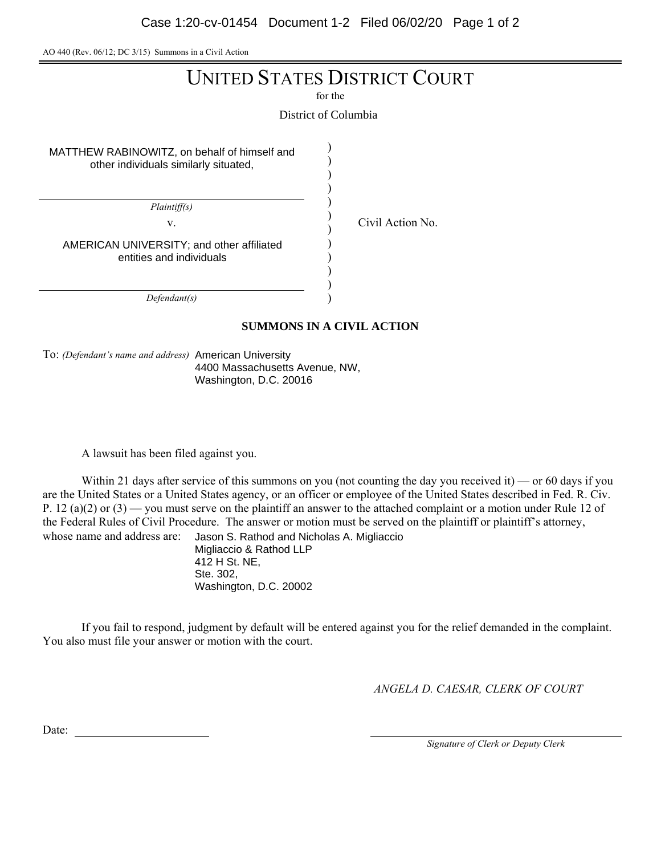AO 440 (Rev. 06/12; DC 3/15) Summons in a Civil Action

# UNITED STATES DISTRICT COURT

for the

District of Columbia

) ) ) ) ) ) ) ) ) ) ) )

MATTHEW RABINOWITZ, on behalf of himself and other individuals similarly situated,

*Plaintiff(s)*

v. Civil Action No.

AMERICAN UNIVERSITY; and other affiliated entities and individuals

*Defendant(s)*

## **SUMMONS IN A CIVIL ACTION**

To: *(Defendant's name and address)* American University 4400 Massachusetts Avenue, NW, Washington, D.C. 20016

A lawsuit has been filed against you.

Within 21 days after service of this summons on you (not counting the day you received it) — or 60 days if you are the United States or a United States agency, or an officer or employee of the United States described in Fed. R. Civ. P. 12 (a)(2) or (3) — you must serve on the plaintiff an answer to the attached complaint or a motion under Rule 12 of the Federal Rules of Civil Procedure. The answer or motion must be served on the plaintiff or plaintiff's attorney, whose name and address are: Jason S. Rathod and Nicholas A. Migliaccio

Migliaccio & Rathod LLP 412 H St. NE, Ste. 302, Washington, D.C. 20002

If you fail to respond, judgment by default will be entered against you for the relief demanded in the complaint. You also must file your answer or motion with the court.

*ANGELA D. CAESAR, CLERK OF COURT*

Date:

*Signature of Clerk or Deputy Clerk*